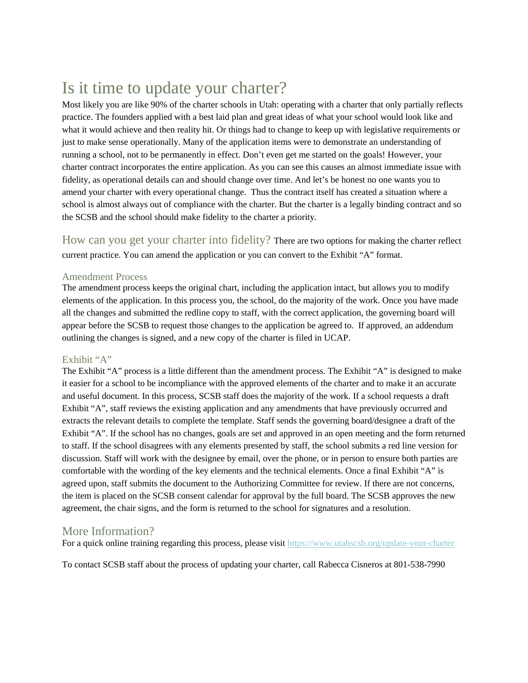## Is it time to update your charter?

Most likely you are like 90% of the charter schools in Utah: operating with a charter that only partially reflects practice. The founders applied with a best laid plan and great ideas of what your school would look like and what it would achieve and then reality hit. Or things had to change to keep up with legislative requirements or just to make sense operationally. Many of the application items were to demonstrate an understanding of running a school, not to be permanently in effect. Don't even get me started on the goals! However, your charter contract incorporates the entire application. As you can see this causes an almost immediate issue with fidelity, as operational details can and should change over time. And let's be honest no one wants you to amend your charter with every operational change. Thus the contract itself has created a situation where a school is almost always out of compliance with the charter. But the charter is a legally binding contract and so the SCSB and the school should make fidelity to the charter a priority.

How can you get your charter into fidelity? There are two options for making the charter reflect current practice. You can amend the application or you can convert to the Exhibit "A" format.

## Amendment Process

The amendment process keeps the original chart, including the application intact, but allows you to modify elements of the application. In this process you, the school, do the majority of the work. Once you have made all the changes and submitted the redline copy to staff, with the correct application, the governing board will appear before the SCSB to request those changes to the application be agreed to. If approved, an addendum outlining the changes is signed, and a new copy of the charter is filed in UCAP.

## Exhibit "A"

The Exhibit "A" process is a little different than the amendment process. The Exhibit "A" is designed to make it easier for a school to be incompliance with the approved elements of the charter and to make it an accurate and useful document. In this process, SCSB staff does the majority of the work. If a school requests a draft Exhibit "A", staff reviews the existing application and any amendments that have previously occurred and extracts the relevant details to complete the template. Staff sends the governing board/designee a draft of the Exhibit "A". If the school has no changes, goals are set and approved in an open meeting and the form returned to staff. If the school disagrees with any elements presented by staff, the school submits a red line version for discussion. Staff will work with the designee by email, over the phone, or in person to ensure both parties are comfortable with the wording of the key elements and the technical elements. Once a final Exhibit "A" is agreed upon, staff submits the document to the Authorizing Committee for review. If there are not concerns, the item is placed on the SCSB consent calendar for approval by the full board. The SCSB approves the new agreement, the chair signs, and the form is returned to the school for signatures and a resolution.

## More Information?

For a quick online training regarding this process, please visit<https://www.utahscsb.org/update-your-charter>

To contact SCSB staff about the process of updating your charter, call Rabecca Cisneros at 801-538-7990